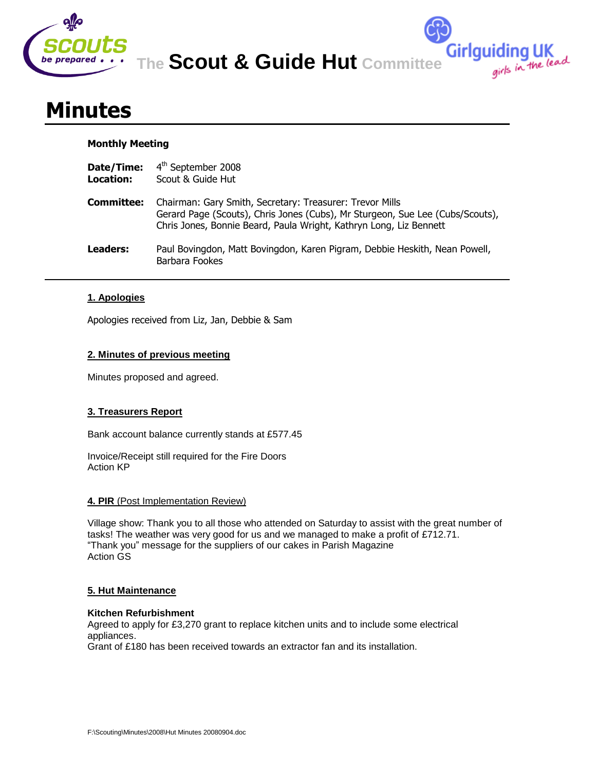

**The Scout & Guide Hut Committee**

**Girlguiding UK**<br>girls in the lead

# **Minutes**

# **Monthly Meeting**

| Date/Time: | 4 <sup>th</sup> September 2008 |  |  |  |
|------------|--------------------------------|--|--|--|
|            |                                |  |  |  |

- **Location:** Scout & Guide Hut
- **Committee:** Chairman: Gary Smith, Secretary: Treasurer: Trevor Mills Gerard Page (Scouts), Chris Jones (Cubs), Mr Sturgeon, Sue Lee (Cubs/Scouts), Chris Jones, Bonnie Beard, Paula Wright, Kathryn Long, Liz Bennett
- **Leaders:** Paul Bovingdon, Matt Bovingdon, Karen Pigram, Debbie Heskith, Nean Powell, Barbara Fookes

# **1. Apologies**

Apologies received from Liz, Jan, Debbie & Sam

# **2. Minutes of previous meeting**

Minutes proposed and agreed.

# **3. Treasurers Report**

Bank account balance currently stands at £577.45

Invoice/Receipt still required for the Fire Doors Action KP

# **4. PIR** (Post Implementation Review)

Village show: Thank you to all those who attended on Saturday to assist with the great number of tasks! The weather was very good for us and we managed to make a profit of £712.71. "Thank you" message for the suppliers of our cakes in Parish Magazine Action GS

## **5. Hut Maintenance**

## **Kitchen Refurbishment**

Agreed to apply for £3,270 grant to replace kitchen units and to include some electrical appliances.

Grant of £180 has been received towards an extractor fan and its installation.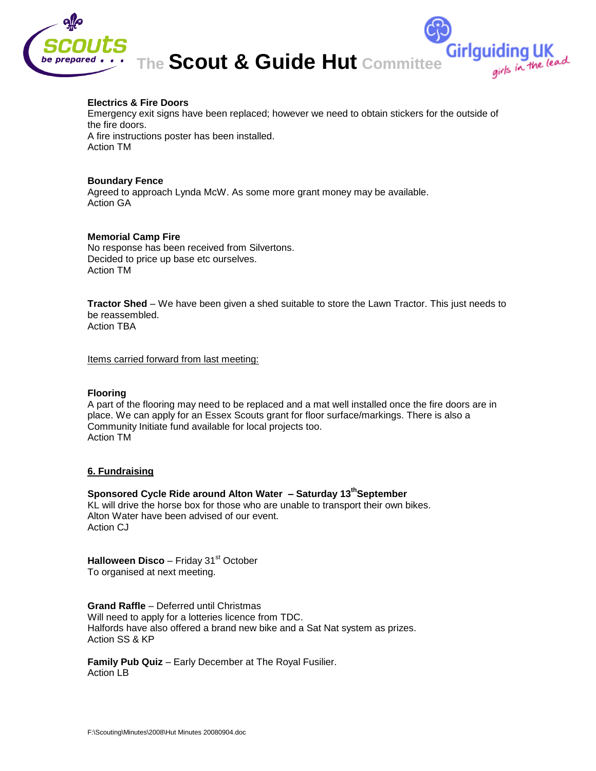

#### **Electrics & Fire Doors**

Emergency exit signs have been replaced; however we need to obtain stickers for the outside of the fire doors. A fire instructions poster has been installed. Action TM

#### **Boundary Fence**

Agreed to approach Lynda McW. As some more grant money may be available. Action GA

#### **Memorial Camp Fire**

No response has been received from Silvertons. Decided to price up base etc ourselves. Action TM

**Tractor Shed** – We have been given a shed suitable to store the Lawn Tractor. This just needs to be reassembled. Action TBA

Items carried forward from last meeting:

#### **Flooring**

A part of the flooring may need to be replaced and a mat well installed once the fire doors are in place. We can apply for an Essex Scouts grant for floor surface/markings. There is also a Community Initiate fund available for local projects too. Action TM

## **6. Fundraising**

# **Sponsored Cycle Ride around Alton Water – Saturday 13 thSeptember**

KL will drive the horse box for those who are unable to transport their own bikes. Alton Water have been advised of our event. Action CJ

**Halloween Disco** – Friday 31<sup>st</sup> October To organised at next meeting.

**Grand Raffle** – Deferred until Christmas Will need to apply for a lotteries licence from TDC. Halfords have also offered a brand new bike and a Sat Nat system as prizes. Action SS & KP

**Family Pub Quiz** – Early December at The Royal Fusilier. Action LB